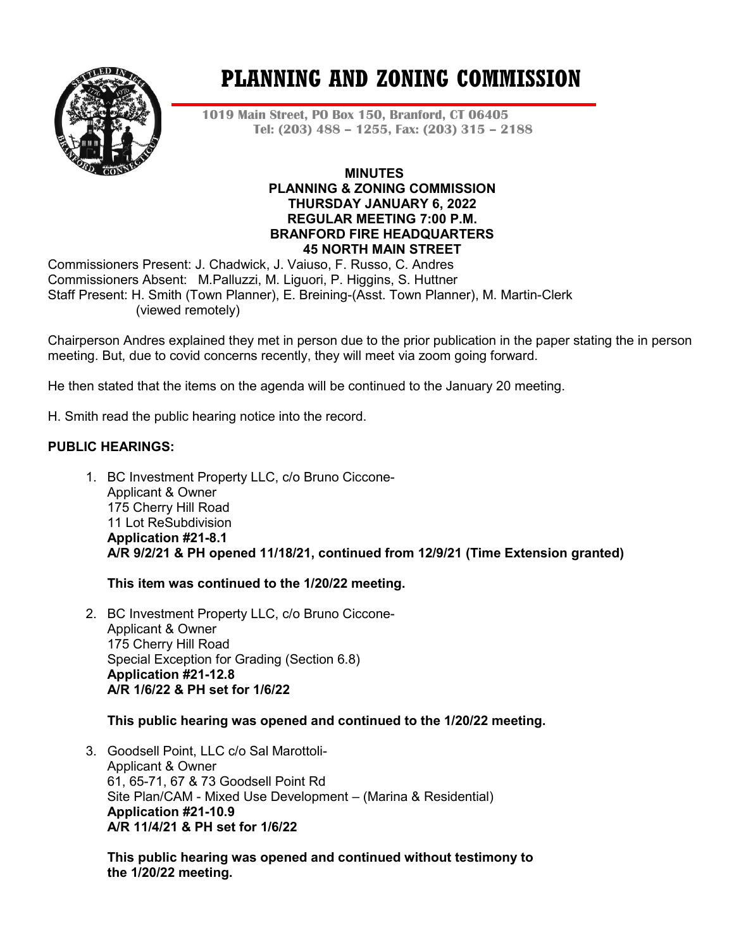

# **PLANNING AND ZONING COMMISSION**

**1019 Main Street, PO Box 150, Branford, CT 06405 Tel: (203) 488 – 1255, Fax: (203) 315 – 2188**

#### **MINUTES PLANNING & ZONING COMMISSION THURSDAY JANUARY 6, 2022 REGULAR MEETING 7:00 P.M. BRANFORD FIRE HEADQUARTERS 45 NORTH MAIN STREET**

Commissioners Present: J. Chadwick, J. Vaiuso, F. Russo, C. Andres Commissioners Absent: M.Palluzzi, M. Liguori, P. Higgins, S. Huttner Staff Present: H. Smith (Town Planner), E. Breining-(Asst. Town Planner), M. Martin-Clerk (viewed remotely)

Chairperson Andres explained they met in person due to the prior publication in the paper stating the in person meeting. But, due to covid concerns recently, they will meet via zoom going forward.

He then stated that the items on the agenda will be continued to the January 20 meeting.

H. Smith read the public hearing notice into the record.

# **PUBLIC HEARINGS:**

1. BC Investment Property LLC, c/o Bruno Ciccone-Applicant & Owner 175 Cherry Hill Road 11 Lot ReSubdivision **Application #21-8.1 A/R 9/2/21 & PH opened 11/18/21, continued from 12/9/21 (Time Extension granted)**

# **This item was continued to the 1/20/22 meeting.**

2. BC Investment Property LLC, c/o Bruno Ciccone-Applicant & Owner 175 Cherry Hill Road Special Exception for Grading (Section 6.8) **Application #21-12.8 A/R 1/6/22 & PH set for 1/6/22**

# **This public hearing was opened and continued to the 1/20/22 meeting.**

3. Goodsell Point, LLC c/o Sal Marottoli-Applicant & Owner 61, 65-71, 67 & 73 Goodsell Point Rd Site Plan/CAM - Mixed Use Development – (Marina & Residential) **Application #21-10.9 A/R 11/4/21 & PH set for 1/6/22**

**This public hearing was opened and continued without testimony to the 1/20/22 meeting.**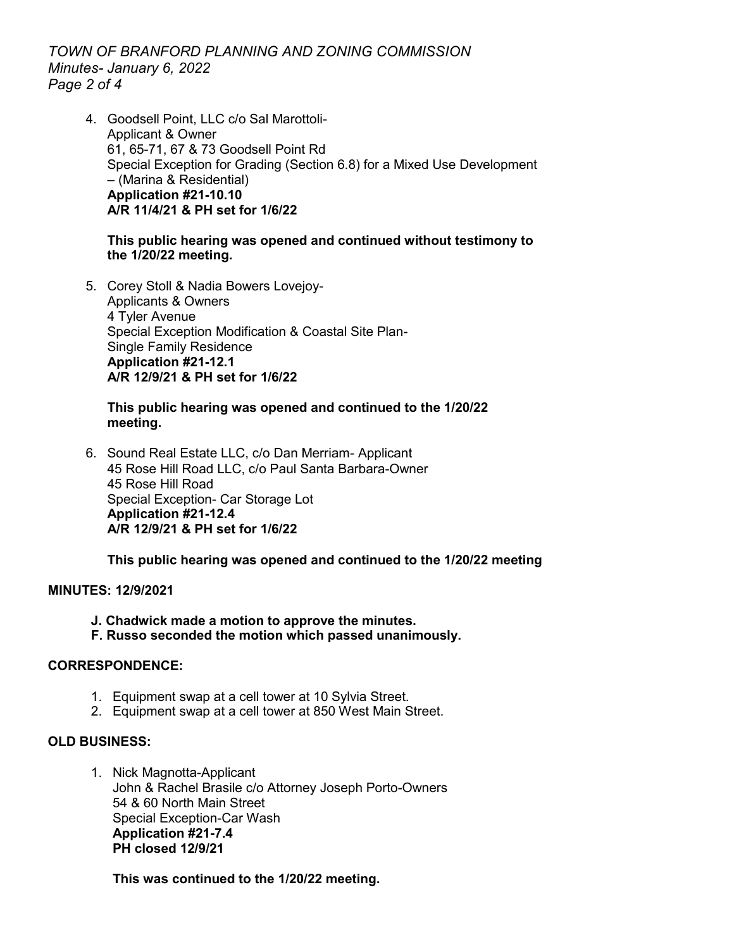*TOWN OF BRANFORD PLANNING AND ZONING COMMISSION Minutes- January 6, 2022 Page 2 of 4*

4. Goodsell Point, LLC c/o Sal Marottoli-Applicant & Owner 61, 65-71, 67 & 73 Goodsell Point Rd Special Exception for Grading (Section 6.8) for a Mixed Use Development – (Marina & Residential) **Application #21-10.10 A/R 11/4/21 & PH set for 1/6/22**

#### **This public hearing was opened and continued without testimony to the 1/20/22 meeting.**

5. Corey Stoll & Nadia Bowers Lovejoy-Applicants & Owners 4 Tyler Avenue Special Exception Modification & Coastal Site Plan-Single Family Residence **Application #21-12.1 A/R 12/9/21 & PH set for 1/6/22**

#### **This public hearing was opened and continued to the 1/20/22 meeting.**

6. Sound Real Estate LLC, c/o Dan Merriam- Applicant 45 Rose Hill Road LLC, c/o Paul Santa Barbara-Owner 45 Rose Hill Road Special Exception- Car Storage Lot **Application #21-12.4 A/R 12/9/21 & PH set for 1/6/22**

# **This public hearing was opened and continued to the 1/20/22 meeting**

# **MINUTES: 12/9/2021**

- **J. Chadwick made a motion to approve the minutes.**
- **F. Russo seconded the motion which passed unanimously.**

# **CORRESPONDENCE:**

- 1. Equipment swap at a cell tower at 10 Sylvia Street.
- 2. Equipment swap at a cell tower at 850 West Main Street.

# **OLD BUSINESS:**

1. Nick Magnotta-Applicant John & Rachel Brasile c/o Attorney Joseph Porto-Owners 54 & 60 North Main Street Special Exception-Car Wash **Application #21-7.4 PH closed 12/9/21**

# **This was continued to the 1/20/22 meeting.**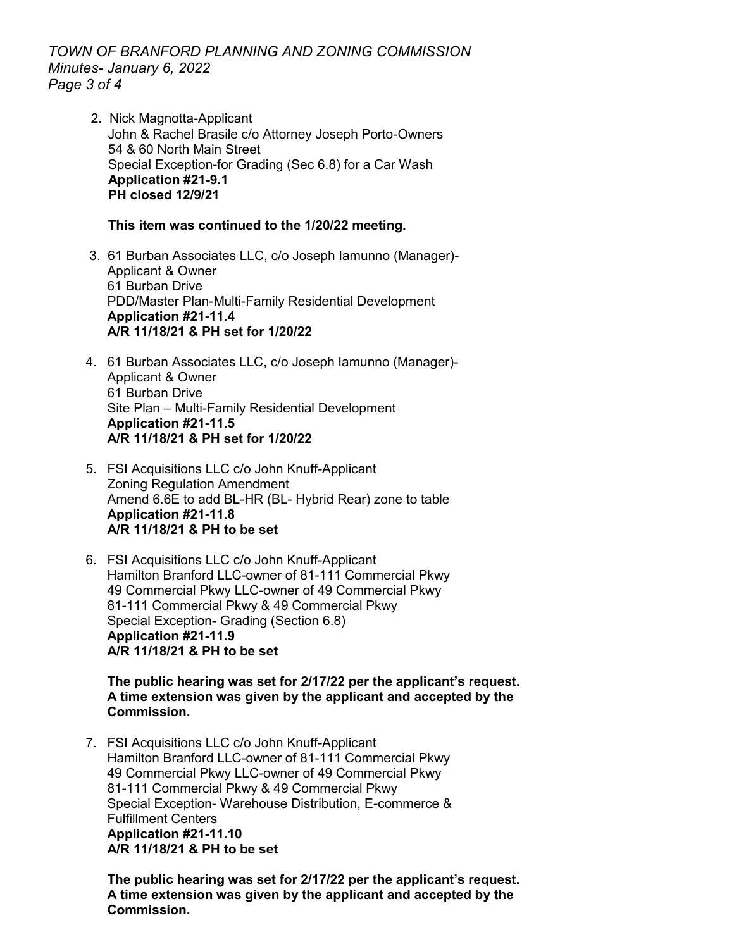*TOWN OF BRANFORD PLANNING AND ZONING COMMISSION Minutes- January 6, 2022 Page 3 of 4*

2**.** Nick Magnotta-Applicant John & Rachel Brasile c/o Attorney Joseph Porto-Owners 54 & 60 North Main Street Special Exception-for Grading (Sec 6.8) for a Car Wash  **Application #21-9.1 PH closed 12/9/21**

#### **This item was continued to the 1/20/22 meeting.**

- 3. 61 Burban Associates LLC, c/o Joseph Iamunno (Manager)- Applicant & Owner 61 Burban Drive PDD/Master Plan-Multi-Family Residential Development **Application #21-11.4 A/R 11/18/21 & PH set for 1/20/22**
- 4. 61 Burban Associates LLC, c/o Joseph Iamunno (Manager)- Applicant & Owner 61 Burban Drive Site Plan – Multi-Family Residential Development **Application #21-11.5 A/R 11/18/21 & PH set for 1/20/22**
- 5. FSI Acquisitions LLC c/o John Knuff-Applicant Zoning Regulation Amendment Amend 6.6E to add BL-HR (BL- Hybrid Rear) zone to table **Application #21-11.8 A/R 11/18/21 & PH to be set**
- 6. FSI Acquisitions LLC c/o John Knuff-Applicant Hamilton Branford LLC-owner of 81-111 Commercial Pkwy 49 Commercial Pkwy LLC-owner of 49 Commercial Pkwy 81-111 Commercial Pkwy & 49 Commercial Pkwy Special Exception- Grading (Section 6.8) **Application #21-11.9 A/R 11/18/21 & PH to be set**

**The public hearing was set for 2/17/22 per the applicant's request. A time extension was given by the applicant and accepted by the Commission.** 

7. FSI Acquisitions LLC c/o John Knuff-Applicant Hamilton Branford LLC-owner of 81-111 Commercial Pkwy 49 Commercial Pkwy LLC-owner of 49 Commercial Pkwy 81-111 Commercial Pkwy & 49 Commercial Pkwy Special Exception- Warehouse Distribution, E-commerce & Fulfillment Centers **Application #21-11.10 A/R 11/18/21 & PH to be set**

**The public hearing was set for 2/17/22 per the applicant's request. A time extension was given by the applicant and accepted by the Commission.**